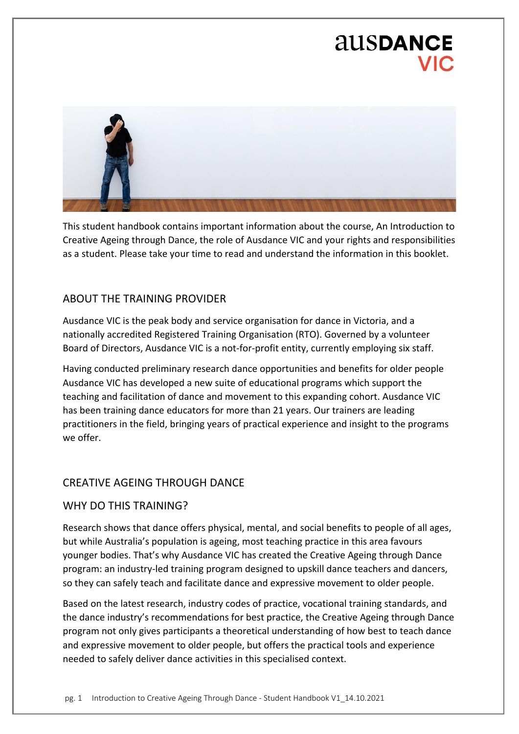# ausDANCE



This student handbook contains important information about the course, An Introduction to Creative Ageing through Dance, the role of Ausdance VIC and your rights and responsibilities as a student. Please take your time to read and understand the information in this booklet.

### ABOUT THE TRAINING PROVIDER

Ausdance VIC is the peak body and service organisation for dance in Victoria, and a nationally accredited Registered Training Organisation (RTO). Governed by a volunteer Board of Directors, Ausdance VIC is a not-for-profit entity, currently employing six staff.

Having conducted preliminary research dance opportunities and benefits for older people Ausdance VIC has developed a new suite of educational programs which support the teaching and facilitation of dance and movement to this expanding cohort. Ausdance VIC has been training dance educators for more than 21 years. Our trainers are leading practitioners in the field, bringing years of practical experience and insight to the programs we offer.

### CREATIVE AGEING THROUGH DANCE

#### WHY DO THIS TRAINING?

Research shows that dance offers physical, mental, and social benefits to people of all ages, but while Australia's population is ageing, most teaching practice in this area favours younger bodies. That's why Ausdance VIC has created the Creative Ageing through Dance program: an industry-led training program designed to upskill dance teachers and dancers, so they can safely teach and facilitate dance and expressive movement to older people.

Based on the latest research, industry codes of practice, vocational training standards, and the dance industry's recommendations for best practice, the Creative Ageing through Dance program not only gives participants a theoretical understanding of how best to teach dance and expressive movement to older people, but offers the practical tools and experience needed to safely deliver dance activities in this specialised context.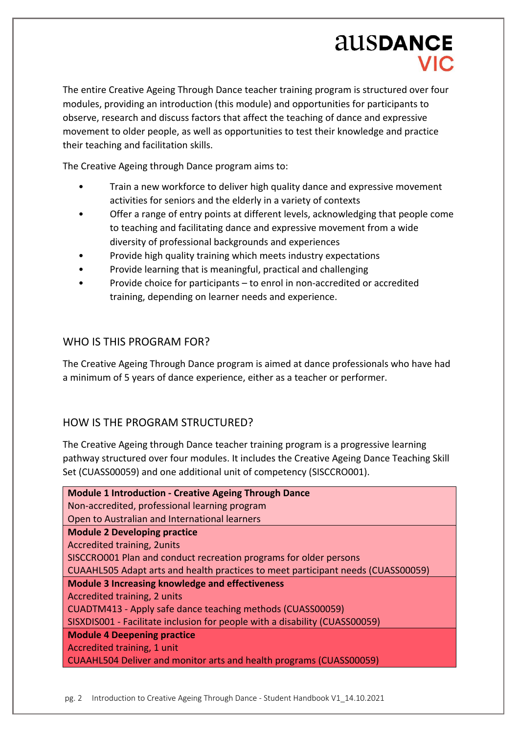The entire Creative Ageing Through Dance teacher training program is structured over four modules, providing an introduction (this module) and opportunities for participants to observe, research and discuss factors that affect the teaching of dance and expressive movement to older people, as well as opportunities to test their knowledge and practice their teaching and facilitation skills.

The Creative Ageing through Dance program aims to:

- Train a new workforce to deliver high quality dance and expressive movement activities for seniors and the elderly in a variety of contexts
- Offer a range of entry points at different levels, acknowledging that people come to teaching and facilitating dance and expressive movement from a wide diversity of professional backgrounds and experiences
- Provide high quality training which meets industry expectations
- Provide learning that is meaningful, practical and challenging
- Provide choice for participants to enrol in non-accredited or accredited training, depending on learner needs and experience.

# WHO IS THIS PROGRAM FOR?

The Creative Ageing Through Dance program is aimed at dance professionals who have had a minimum of 5 years of dance experience, either as a teacher or performer.

# HOW IS THE PROGRAM STRUCTURED?

The Creative Ageing through Dance teacher training program is a progressive learning pathway structured over four modules. It includes the Creative Ageing Dance Teaching Skill Set (CUASS00059) and one additional unit of competency (SISCCRO001).

| <b>Module 1 Introduction - Creative Ageing Through Dance</b>                     |
|----------------------------------------------------------------------------------|
| Non-accredited, professional learning program                                    |
| Open to Australian and International learners                                    |
| <b>Module 2 Developing practice</b>                                              |
| <b>Accredited training, 2units</b>                                               |
| SISCCRO001 Plan and conduct recreation programs for older persons                |
| CUAAHL505 Adapt arts and health practices to meet participant needs (CUASS00059) |
| <b>Module 3 Increasing knowledge and effectiveness</b>                           |
| Accredited training, 2 units                                                     |
| CUADTM413 - Apply safe dance teaching methods (CUASS00059)                       |
| SISXDIS001 - Facilitate inclusion for people with a disability (CUASS00059)      |
| <b>Module 4 Deepening practice</b>                                               |
| Accredited training, 1 unit                                                      |
| CUAAHL504 Deliver and monitor arts and health programs (CUASS00059)              |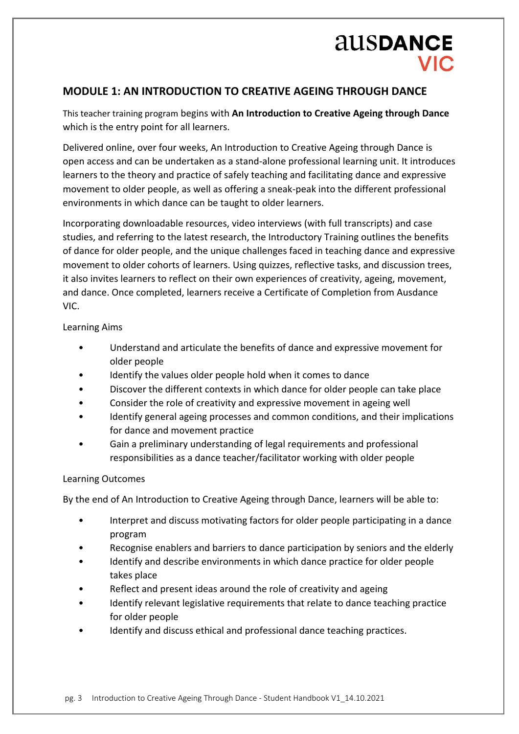# **AUSDANCE VIC**

## **MODULE 1: AN INTRODUCTION TO CREATIVE AGEING THROUGH DANCE**

This teacher training program begins with **An Introduction to Creative Ageing through Dance** which is the entry point for all learners.

Delivered online, over four weeks, An Introduction to Creative Ageing through Dance is open access and can be undertaken as a stand-alone professional learning unit. It introduces learners to the theory and practice of safely teaching and facilitating dance and expressive movement to older people, as well as offering a sneak-peak into the different professional environments in which dance can be taught to older learners.

Incorporating downloadable resources, video interviews (with full transcripts) and case studies, and referring to the latest research, the Introductory Training outlines the benefits of dance for older people, and the unique challenges faced in teaching dance and expressive movement to older cohorts of learners. Using quizzes, reflective tasks, and discussion trees, it also invites learners to reflect on their own experiences of creativity, ageing, movement, and dance. Once completed, learners receive a Certificate of Completion from Ausdance VIC.

#### Learning Aims

- Understand and articulate the benefits of dance and expressive movement for older people
- Identify the values older people hold when it comes to dance
- Discover the different contexts in which dance for older people can take place
- Consider the role of creativity and expressive movement in ageing well
- Identify general ageing processes and common conditions, and their implications for dance and movement practice
- Gain a preliminary understanding of legal requirements and professional responsibilities as a dance teacher/facilitator working with older people

#### Learning Outcomes

By the end of An Introduction to Creative Ageing through Dance, learners will be able to:

- Interpret and discuss motivating factors for older people participating in a dance program
- Recognise enablers and barriers to dance participation by seniors and the elderly
- Identify and describe environments in which dance practice for older people takes place
- Reflect and present ideas around the role of creativity and ageing
- Identify relevant legislative requirements that relate to dance teaching practice for older people
- Identify and discuss ethical and professional dance teaching practices.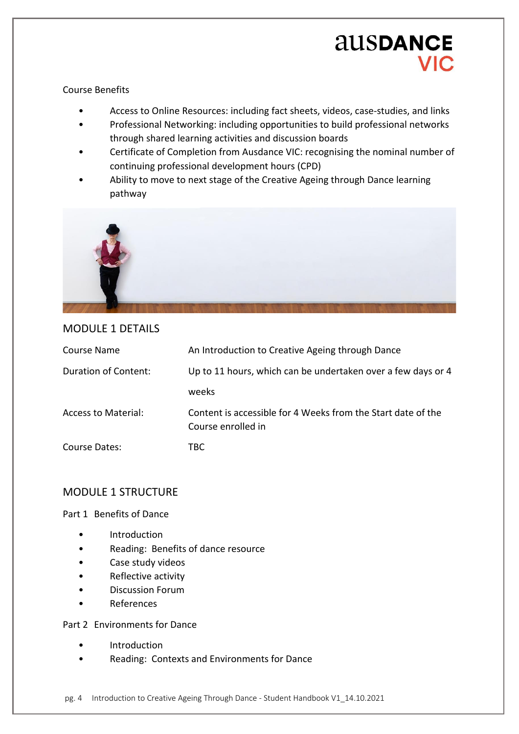# **AUSDANCE** VIC.

#### Course Benefits

- Access to Online Resources: including fact sheets, videos, case-studies, and links
- Professional Networking: including opportunities to build professional networks through shared learning activities and discussion boards
- Certificate of Completion from Ausdance VIC: recognising the nominal number of continuing professional development hours (CPD)
- Ability to move to next stage of the Creative Ageing through Dance learning pathway



### MODULE 1 DETAILS

| Course Name                | An Introduction to Creative Ageing through Dance                                   |
|----------------------------|------------------------------------------------------------------------------------|
| Duration of Content:       | Up to 11 hours, which can be undertaken over a few days or 4                       |
|                            | weeks                                                                              |
| <b>Access to Material:</b> | Content is accessible for 4 Weeks from the Start date of the<br>Course enrolled in |
| Course Dates:              | TBC.                                                                               |

## MODULE 1 STRUCTURE

#### Part 1 Benefits of Dance

- Introduction
- Reading: Benefits of dance resource
- Case study videos
- Reflective activity
- Discussion Forum
- **References**

Part 2 Environments for Dance

- Introduction
- Reading: Contexts and Environments for Dance

pg. 4 Introduction to Creative Ageing Through Dance - Student Handbook V1\_14.10.2021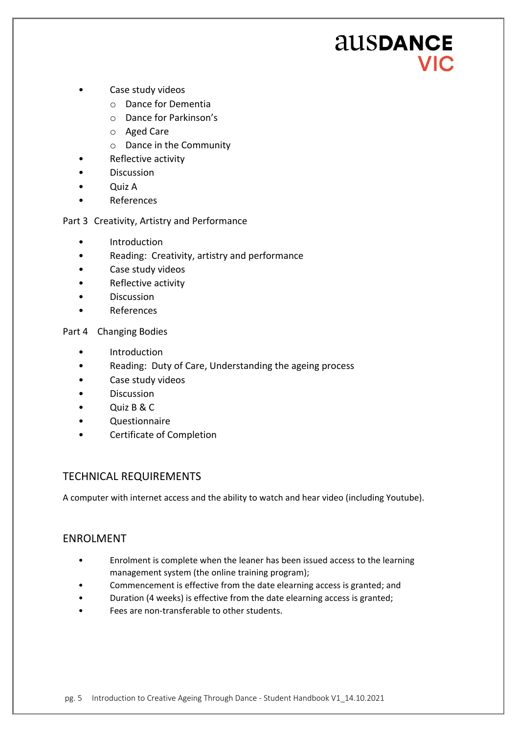# **AUSDANCE VIC**

- Case study videos
	- o Dance for Dementia
	- o Dance for Parkinson's
	- o Aged Care
	- o Dance in the Community
- Reflective activity
- **Discussion**
- Quiz A
- **References**

#### Part 3 Creativity, Artistry and Performance

- Introduction
- Reading: Creativity, artistry and performance
- Case study videos
- Reflective activity
- Discussion
- **References**

Part 4 Changing Bodies

- Introduction
- Reading: Duty of Care, Understanding the ageing process
- Case study videos
- Discussion
- Quiz B & C
- Questionnaire
- Certificate of Completion

### TECHNICAL REQUIREMENTS

A computer with internet access and the ability to watch and hear video (including Youtube).

### ENROLMENT

- Enrolment is complete when the leaner has been issued access to the learning management system (the online training program);
- Commencement is effective from the date elearning access is granted; and
- Duration (4 weeks) is effective from the date elearning access is granted;
- Fees are non-transferable to other students.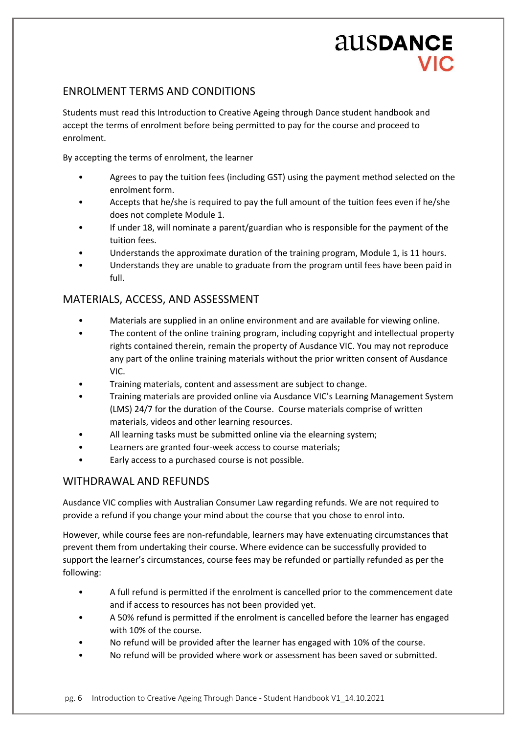## ENROLMENT TERMS AND CONDITIONS

Students must read this Introduction to Creative Ageing through Dance student handbook and accept the terms of enrolment before being permitted to pay for the course and proceed to enrolment.

By accepting the terms of enrolment, the learner

- Agrees to pay the tuition fees (including GST) using the payment method selected on the enrolment form.
- Accepts that he/she is required to pay the full amount of the tuition fees even if he/she does not complete Module 1.
- If under 18, will nominate a parent/guardian who is responsible for the payment of the tuition fees.
- Understands the approximate duration of the training program, Module 1, is 11 hours.
- Understands they are unable to graduate from the program until fees have been paid in full.

### MATERIALS, ACCESS, AND ASSESSMENT

- Materials are supplied in an online environment and are available for viewing online.
- The content of the online training program, including copyright and intellectual property rights contained therein, remain the property of Ausdance VIC. You may not reproduce any part of the online training materials without the prior written consent of Ausdance VIC.
- Training materials, content and assessment are subject to change.
- Training materials are provided online via Ausdance VIC's Learning Management System (LMS) 24/7 for the duration of the Course. Course materials comprise of written materials, videos and other learning resources.
- All learning tasks must be submitted online via the elearning system;
- Learners are granted four-week access to course materials;
- Early access to a purchased course is not possible.

### WITHDRAWAL AND REFUNDS

Ausdance VIC complies with Australian Consumer Law regarding refunds. We are not required to provide a refund if you change your mind about the course that you chose to enrol into.

However, while course fees are non-refundable, learners may have extenuating circumstances that prevent them from undertaking their course. Where evidence can be successfully provided to support the learner's circumstances, course fees may be refunded or partially refunded as per the following:

- A full refund is permitted if the enrolment is cancelled prior to the commencement date and if access to resources has not been provided yet.
- A 50% refund is permitted if the enrolment is cancelled before the learner has engaged with 10% of the course.
- No refund will be provided after the learner has engaged with 10% of the course.
- No refund will be provided where work or assessment has been saved or submitted.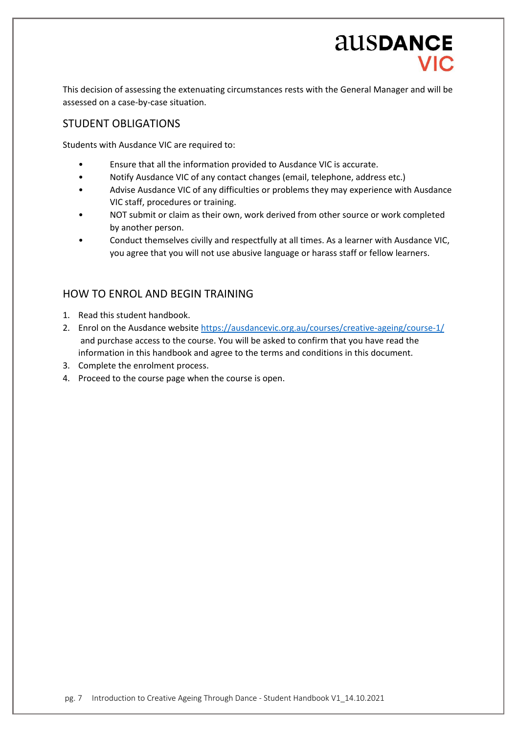This decision of assessing the extenuating circumstances rests with the General Manager and will be assessed on a case-by-case situation.

### STUDENT OBLIGATIONS

Students with Ausdance VIC are required to:

- Ensure that all the information provided to Ausdance VIC is accurate.
- Notify Ausdance VIC of any contact changes (email, telephone, address etc.)
- Advise Ausdance VIC of any difficulties or problems they may experience with Ausdance VIC staff, procedures or training.
- NOT submit or claim as their own, work derived from other source or work completed by another person.
- Conduct themselves civilly and respectfully at all times. As a learner with Ausdance VIC, you agree that you will not use abusive language or harass staff or fellow learners.

### HOW TO ENROL AND BEGIN TRAINING

- 1. Read this student handbook.
- 2. Enrol on the Ausdance websit[e https://ausdancevic.org.au/courses/creative-ageing/course-1/](https://ausdancevic.org.au/courses/creative-ageing/course-1/) and purchase access to the course. You will be asked to confirm that you have read the information in this handbook and agree to the terms and conditions in this document.
- 3. Complete the enrolment process.
- 4. Proceed to the course page when the course is open.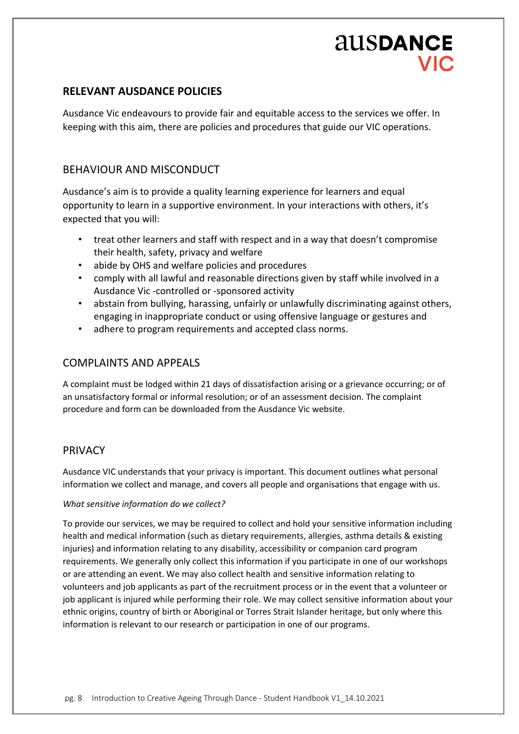#### **RELEVANT AUSDANCE POLICIES**

Ausdance Vic endeavours to provide fair and equitable access to the services we offer. In keeping with this aim, there are policies and procedures that guide our VIC operations.

### BEHAVIOUR AND MISCONDUCT

Ausdance's aim is to provide a quality learning experience for learners and equal opportunity to learn in a supportive environment. In your interactions with others, it's expected that you will:

- treat other learners and staff with respect and in a way that doesn't compromise their health, safety, privacy and welfare
- abide by OHS and welfare policies and procedures
- comply with all lawful and reasonable directions given by staff while involved in a Ausdance Vic -controlled or -sponsored activity
- abstain from bullying, harassing, unfairly or unlawfully discriminating against others, engaging in inappropriate conduct or using offensive language or gestures and
- adhere to program requirements and accepted class norms.

### COMPLAINTS AND APPEALS

A complaint must be lodged within 21 days of dissatisfaction arising or a grievance occurring; or of an unsatisfactory formal or informal resolution; or of an assessment decision. The complaint procedure and form can be downloaded from the Ausdance Vic website.

### PRIVACY

Ausdance VIC understands that your privacy is important. This document outlines what personal information we collect and manage, and covers all people and organisations that engage with us.

#### *What sensitive information do we collect?*

To provide our services, we may be required to collect and hold your sensitive information including health and medical information (such as dietary requirements, allergies, asthma details & existing injuries) and information relating to any disability, accessibility or companion card program requirements. We generally only collect this information if you participate in one of our workshops or are attending an event. We may also collect health and sensitive information relating to volunteers and job applicants as part of the recruitment process or in the event that a volunteer or job applicant is injured while performing their role. We may collect sensitive information about your ethnic origins, country of birth or Aboriginal or Torres Strait Islander heritage, but only where this information is relevant to our research or participation in one of our programs.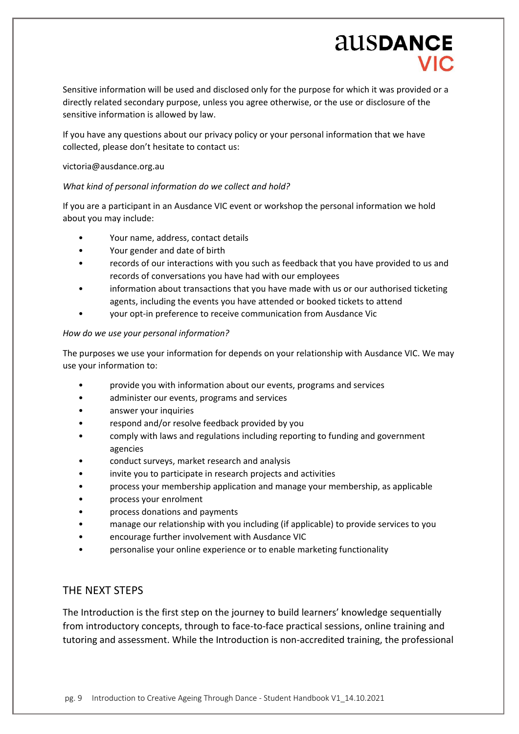# ausDANCE

Sensitive information will be used and disclosed only for the purpose for which it was provided or a directly related secondary purpose, unless you agree otherwise, or the use or disclosure of the sensitive information is allowed by law.

If you have any questions about our privacy policy or your personal information that we have collected, please don't hesitate to contact us:

#### victoria@ausdance.org.au

#### *What kind of personal information do we collect and hold?*

If you are a participant in an Ausdance VIC event or workshop the personal information we hold about you may include:

- Your name, address, contact details
- Your gender and date of birth
- records of our interactions with you such as feedback that you have provided to us and records of conversations you have had with our employees
- information about transactions that you have made with us or our authorised ticketing agents, including the events you have attended or booked tickets to attend
- your opt-in preference to receive communication from Ausdance Vic

#### *How do we use your personal information?*

The purposes we use your information for depends on your relationship with Ausdance VIC. We may use your information to:

- provide you with information about our events, programs and services
- administer our events, programs and services
- answer your inquiries
- respond and/or resolve feedback provided by you
- comply with laws and regulations including reporting to funding and government agencies
- conduct surveys, market research and analysis
- invite you to participate in research projects and activities
- process your membership application and manage your membership, as applicable
- process your enrolment
- process donations and payments
- manage our relationship with you including (if applicable) to provide services to you
- encourage further involvement with Ausdance VIC
- personalise your online experience or to enable marketing functionality

#### THE NEXT STEPS

The Introduction is the first step on the journey to build learners' knowledge sequentially from introductory concepts, through to face-to-face practical sessions, online training and tutoring and assessment. While the Introduction is non-accredited training, the professional